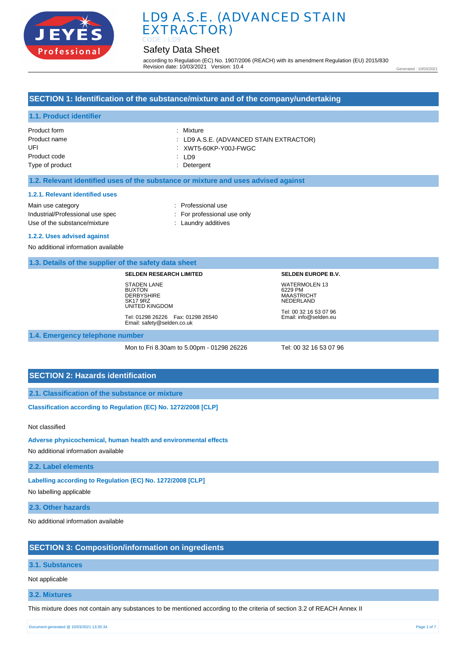

# Safety Data Sheet

according to Regulation (EC) No. 1907/2006 (REACH) with its amendment Regulation (EU) 2015/830 Revision date: 10/03/2021 Version: 10.4

Generated : 10/03/2021

## **SECTION 1: Identification of the substance/mixture and of the company/undertaking**

## **1.1. Product identifier**

| Product form    | : Mixture                               |
|-----------------|-----------------------------------------|
| Product name    | : LD9 A.S.E. (ADVANCED STAIN EXTRACTOR) |
| UFI             | XWT5-60KP-Y00J-FWGC                     |
| Product code    | $\therefore$ ID9                        |
| Type of product | : Detergent                             |

#### **1.2. Relevant identified uses of the substance or mixture and uses advised against**

#### **1.2.1. Relevant identified uses**

Main use category **Example 20** and the Main use category **in the Contract 20 and 10** and 10 and 10 and 10 and 10 and 10 and 10 and 10 and 10 and 10 and 10 and 10 and 10 and 10 and 10 and 10 and 10 and 10 and 10 and 10 and Industrial/Professional use spec : For professional use only Use of the substance/mixture in the substance/mixture in the substance of the substance of the substance of the substance/mixture in the substance of the substance of the substance of the substance of the substance of the

#### **1.2.2. Uses advised against**

No additional information available

#### **1.3. Details of the supplier of the safety data sheet**

#### **SELDEN RESEARCH LIMITED**

STADEN LANE **BUXTON DERBYSHIRE** SK17 9RZ UNITED KINGDOM

Tel: 01298 26226 Fax: 01298 26540 Email: safety@selden.co.uk

# 6229 PM MAASTRICHT NEDERLAND

**SELDEN EUROPE B.V.** WATERMOLEN 13

Tel: 00 32 16 53 07 96 Email: info@selden.eu

#### **1.4. Emergency telephone number**

Mon to Fri 8.30am to 5.00pm - 01298 26226 Tel: 00 32 16 53 07 96

### **SECTION 2: Hazards identification**

**2.1. Classification of the substance or mixture**

**Classification according to Regulation (EC) No. 1272/2008 [CLP]** 

Not classified

**Adverse physicochemical, human health and environmental effects** 

No additional information available

**2.2. Label elements**

**Labelling according to Regulation (EC) No. 1272/2008 [CLP]** 

No labelling applicable

**2.3. Other hazards**

No additional information available

#### **SECTION 3: Composition/information on ingredients**

#### **3.1. Substances**

Not applicable

**3.2. Mixtures**

This mixture does not contain any substances to be mentioned according to the criteria of section 3.2 of REACH Annex II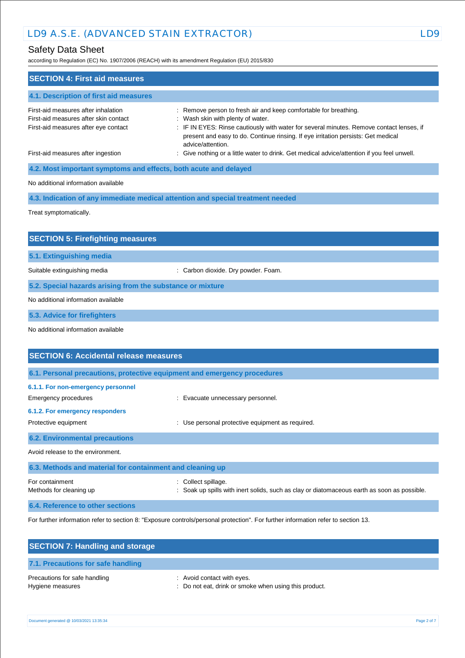# Safety Data Sheet

according to Regulation (EC) No. 1907/2006 (REACH) with its amendment Regulation (EU) 2015/830

| <b>SECTION 4: First aid measures</b>                                                                                 |                                                                                                                                                                                                                                                                                                             |
|----------------------------------------------------------------------------------------------------------------------|-------------------------------------------------------------------------------------------------------------------------------------------------------------------------------------------------------------------------------------------------------------------------------------------------------------|
| 4.1. Description of first aid measures                                                                               |                                                                                                                                                                                                                                                                                                             |
| First-aid measures after inhalation<br>First-aid measures after skin contact<br>First-aid measures after eye contact | : Remove person to fresh air and keep comfortable for breathing.<br>: Wash skin with plenty of water.<br>: IF IN EYES: Rinse cautiously with water for several minutes. Remove contact lenses, if<br>present and easy to do. Continue rinsing. If eye irritation persists: Get medical<br>advice/attention. |
| First-aid measures after ingestion                                                                                   | : Give nothing or a little water to drink. Get medical advice/attention if you feel unwell.                                                                                                                                                                                                                 |
| 4.2. Most important symptoms and effects, both acute and delayed                                                     |                                                                                                                                                                                                                                                                                                             |
| No additional information available                                                                                  |                                                                                                                                                                                                                                                                                                             |
|                                                                                                                      | 4.3. Indication of any immediate medical attention and special treatment needed                                                                                                                                                                                                                             |
| Treat symptomatically.                                                                                               |                                                                                                                                                                                                                                                                                                             |
| <b>SECTION 5: Firefighting measures</b>                                                                              |                                                                                                                                                                                                                                                                                                             |
|                                                                                                                      |                                                                                                                                                                                                                                                                                                             |
| 5.1. Extinguishing media                                                                                             |                                                                                                                                                                                                                                                                                                             |
| Suitable extinguishing media                                                                                         | : Carbon dioxide. Dry powder. Foam.                                                                                                                                                                                                                                                                         |
| 5.2. Special hazards arising from the substance or mixture                                                           |                                                                                                                                                                                                                                                                                                             |
| No additional information available                                                                                  |                                                                                                                                                                                                                                                                                                             |
| 5.3. Advice for firefighters                                                                                         |                                                                                                                                                                                                                                                                                                             |
| No additional information available                                                                                  |                                                                                                                                                                                                                                                                                                             |
| <b>SECTION 6: Accidental release measures</b>                                                                        |                                                                                                                                                                                                                                                                                                             |
| 6.1. Personal precautions, protective equipment and emergency procedures                                             |                                                                                                                                                                                                                                                                                                             |
| 6.1.1. For non-emergency personnel                                                                                   |                                                                                                                                                                                                                                                                                                             |
| <b>Emergency procedures</b>                                                                                          | : Evacuate unnecessary personnel.                                                                                                                                                                                                                                                                           |
| 6.1.2. For emergency responders                                                                                      |                                                                                                                                                                                                                                                                                                             |
| Protective equipment                                                                                                 | : Use personal protective equipment as required.                                                                                                                                                                                                                                                            |
| <b>6.2. Environmental precautions</b>                                                                                |                                                                                                                                                                                                                                                                                                             |
| Avoid release to the environment.                                                                                    |                                                                                                                                                                                                                                                                                                             |
| 6.3. Methods and material for containment and cleaning up                                                            |                                                                                                                                                                                                                                                                                                             |
| For containment<br>Methods for cleaning up                                                                           | : Collect spillage.<br>Soak up spills with inert solids, such as clay or diatomaceous earth as soon as possible.                                                                                                                                                                                            |
| 6.4. Reference to other sections                                                                                     |                                                                                                                                                                                                                                                                                                             |

For further information refer to section 8: "Exposure controls/personal protection". For further information refer to section 13.

| <b>SECTION 7: Handling and storage</b>            |                                                                                     |
|---------------------------------------------------|-------------------------------------------------------------------------------------|
| 7.1. Precautions for safe handling                |                                                                                     |
| Precautions for safe handling<br>Hygiene measures | : Avoid contact with eyes.<br>: Do not eat, drink or smoke when using this product. |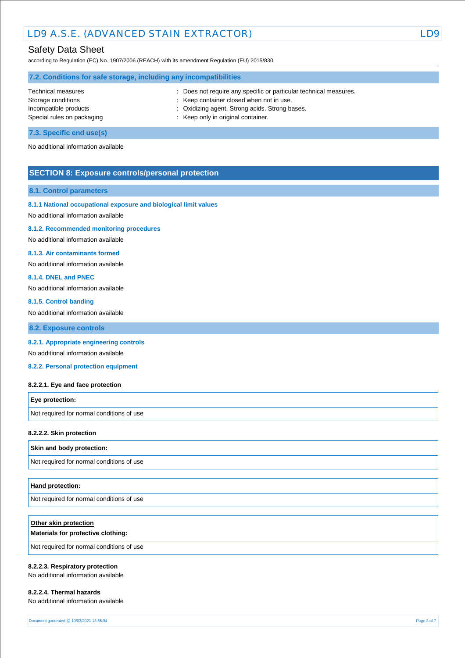# Safety Data Sheet

according to Regulation (EC) No. 1907/2006 (REACH) with its amendment Regulation (EU) 2015/830

| 7.2. Conditions for safe storage, including any incompatibilities |                                                                   |  |
|-------------------------------------------------------------------|-------------------------------------------------------------------|--|
| Technical measures                                                | : Does not require any specific or particular technical measures. |  |
| Storage conditions                                                | : Keep container closed when not in use.                          |  |
| Incompatible products                                             | : Oxidizing agent. Strong acids. Strong bases.                    |  |
| Special rules on packaging                                        | : Keep only in original container.                                |  |
| 7.3. Specific end use(s)                                          |                                                                   |  |

No additional information available

# **SECTION 8: Exposure controls/personal protection**

#### **8.1. Control parameters**

#### **8.1.1 National occupational exposure and biological limit values**

No additional information available

#### **8.1.2. Recommended monitoring procedures**

No additional information available

#### **8.1.3. Air contaminants formed**

No additional information available

#### **8.1.4. DNEL and PNEC**

No additional information available

#### **8.1.5. Control banding**

No additional information available

**8.2. Exposure controls**

#### **8.2.1. Appropriate engineering controls**

No additional information available

**8.2.2. Personal protection equipment** 

#### **8.2.2.1. Eye and face protection**

| <b>Eye protection:</b>                    |  |
|-------------------------------------------|--|
| Not required for normal conditions of use |  |

#### **8.2.2.2. Skin protection**

#### **Skin and body protection:**

Not required for normal conditions of use

#### **Hand protection:**

Not required for normal conditions of use

| Other skin protection<br>Materials for protective clothing: |
|-------------------------------------------------------------|
| Not required for normal conditions of use                   |

#### **8.2.2.3. Respiratory protection**

No additional information available

#### **8.2.2.4. Thermal hazards**

No additional information available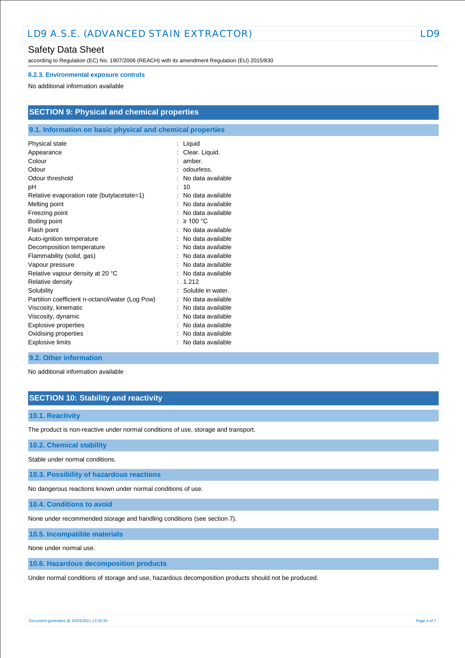# Safety Data Sheet

according to Regulation (EC) No. 1907/2006 (REACH) with its amendment Regulation (EU) 2015/830

#### **8.2.3. Environmental exposure controls**

No additional information available

| <b>SECTION 9: Physical and chemical properties</b> |  |
|----------------------------------------------------|--|
|----------------------------------------------------|--|

## **9.1. Information on basic physical and chemical properties**

| Physical state                                  | Liquid            |
|-------------------------------------------------|-------------------|
| Appearance                                      | Clear. Liquid.    |
| Colour                                          | amber.            |
| Odour                                           | odourless.        |
| Odour threshold                                 | No data available |
| рH                                              | 10                |
| Relative evaporation rate (butylacetate=1)      | No data available |
| Melting point                                   | No data available |
| Freezing point                                  | No data available |
| Boiling point                                   | $\geq$ 100 °C     |
| Flash point                                     | No data available |
| Auto-ignition temperature                       | No data available |
| Decomposition temperature                       | No data available |
| Flammability (solid, gas)                       | No data available |
| Vapour pressure                                 | No data available |
| Relative vapour density at 20 °C                | No data available |
| Relative density                                | 1.212             |
| Solubility                                      | Soluble in water. |
| Partition coefficient n-octanol/water (Log Pow) | No data available |
| Viscosity, kinematic                            | No data available |
| Viscosity, dynamic                              | No data available |
| <b>Explosive properties</b>                     | No data available |
| Oxidising properties                            | No data available |
| <b>Explosive limits</b>                         | No data available |

### **9.2. Other information**

No additional information available

# **SECTION 10: Stability and reactivity**

#### **10.1. Reactivity**

The product is non-reactive under normal conditions of use, storage and transport.

**10.2. Chemical stability**

Stable under normal conditions.

**10.3. Possibility of hazardous reactions**

No dangerous reactions known under normal conditions of use.

**10.4. Conditions to avoid**

None under recommended storage and handling conditions (see section 7).

**10.5. Incompatible materials**

None under normal use.

**10.6. Hazardous decomposition products**

Under normal conditions of storage and use, hazardous decomposition products should not be produced.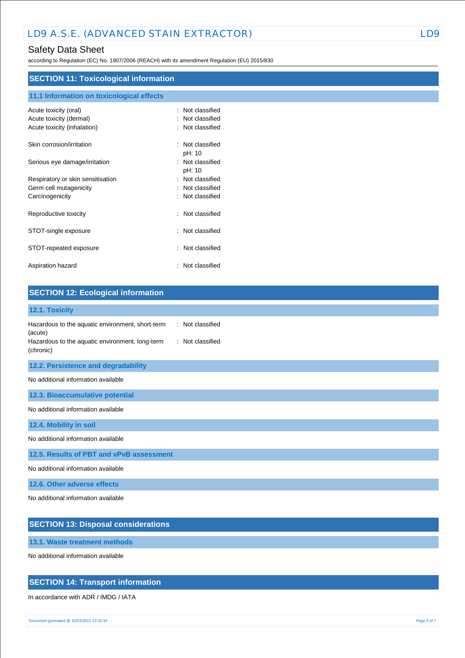# Safety Data Sheet

according to Regulation (EC) No. 1907/2006 (REACH) with its amendment Regulation (EU) 2015/830

# **SECTION 11: Toxicological information**

| 11.1 Information on toxicological effects                                       |                                                    |
|---------------------------------------------------------------------------------|----------------------------------------------------|
| Acute toxicity (oral)<br>Acute toxicity (dermal)<br>Acute toxicity (inhalation) | Not classified<br>Not classified<br>Not classified |
| Skin corrosion/irritation                                                       | Not classified<br>٠                                |
| Serious eye damage/irritation                                                   | pH: 10<br>: Not classified<br>pH: 10               |
| Respiratory or skin sensitisation                                               | Not classified<br>$\ddot{\phantom{a}}$             |
| Germ cell mutagenicity                                                          | Not classified                                     |
| Carcinogenicity                                                                 | Not classified                                     |
| Reproductive toxicity                                                           | Not classified<br>۰.                               |
| STOT-single exposure                                                            | Not classified<br>÷                                |
| STOT-repeated exposure                                                          | Not classified                                     |
| Aspiration hazard                                                               | Not classified                                     |

| <b>SECTION 12: Ecological information</b>                                                                                                                           |
|---------------------------------------------------------------------------------------------------------------------------------------------------------------------|
| 12.1. Toxicity                                                                                                                                                      |
| Hazardous to the aquatic environment, short-term<br>: Not classified<br>(acute)<br>Hazardous to the aquatic environment, long-term<br>: Not classified<br>(chronic) |
| 12.2. Persistence and degradability                                                                                                                                 |
| No additional information available                                                                                                                                 |
| 12.3. Bioaccumulative potential                                                                                                                                     |
| No additional information available                                                                                                                                 |
| 12.4. Mobility in soil                                                                                                                                              |
| No additional information available                                                                                                                                 |
| 12.5. Results of PBT and vPvB assessment                                                                                                                            |
| No additional information available                                                                                                                                 |
| 12.6. Other adverse effects                                                                                                                                         |
| No additional information available                                                                                                                                 |

# **SECTION 13: Disposal considerations**

**13.1. Waste treatment methods**

No additional information available

# **SECTION 14: Transport information**

In accordance with ADR / IMDG / IATA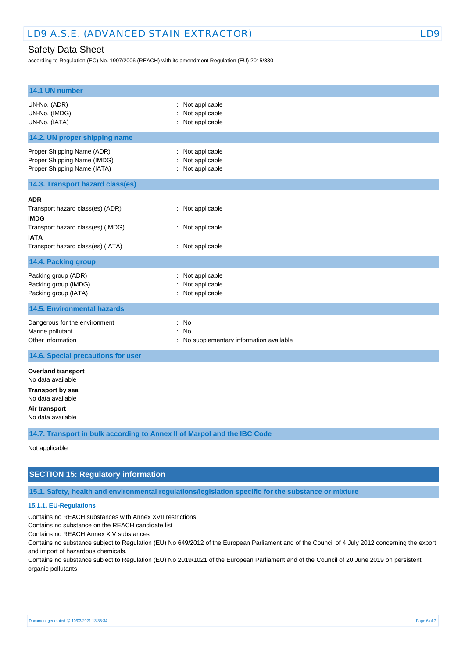# Safety Data Sheet

according to Regulation (EC) No. 1907/2006 (REACH) with its amendment Regulation (EU) 2015/830

| 14.1 UN number                                                                                                                                  |                                                            |
|-------------------------------------------------------------------------------------------------------------------------------------------------|------------------------------------------------------------|
| UN-No. (ADR)<br>UN-No. (IMDG)<br>UN-No. (IATA)                                                                                                  | Not applicable<br>t.<br>Not applicable<br>: Not applicable |
| 14.2. UN proper shipping name                                                                                                                   |                                                            |
| Proper Shipping Name (ADR)<br>Proper Shipping Name (IMDG)<br>Proper Shipping Name (IATA)                                                        | : Not applicable<br>Not applicable<br>: Not applicable     |
| 14.3. Transport hazard class(es)                                                                                                                |                                                            |
| <b>ADR</b><br>Transport hazard class(es) (ADR)<br><b>IMDG</b><br>Transport hazard class(es) (IMDG)<br>IATA<br>Transport hazard class(es) (IATA) | : Not applicable<br>: Not applicable<br>: Not applicable   |
| 14.4. Packing group                                                                                                                             |                                                            |
| Packing group (ADR)<br>Packing group (IMDG)<br>Packing group (IATA)                                                                             | Not applicable<br>Not applicable<br>Not applicable         |
| <b>14.5. Environmental hazards</b>                                                                                                              |                                                            |
| Dangerous for the environment<br>Marine pollutant<br>Other information                                                                          | : No<br>No<br>: No supplementary information available     |
| 14.6. Special precautions for user                                                                                                              |                                                            |
| <b>Overland transport</b><br>No data available<br><b>Transport by sea</b><br>No data available<br>Air transport<br>No data available            |                                                            |

**14.7. Transport in bulk according to Annex II of Marpol and the IBC Code**

Not applicable

# **SECTION 15: Regulatory information**

**15.1. Safety, health and environmental regulations/legislation specific for the substance or mixture**

#### **15.1.1. EU-Regulations**

Contains no REACH substances with Annex XVII restrictions

Contains no substance on the REACH candidate list

Contains no REACH Annex XIV substances

Contains no substance subject to Regulation (EU) No 649/2012 of the European Parliament and of the Council of 4 July 2012 concerning the export and import of hazardous chemicals.

Contains no substance subject to Regulation (EU) No 2019/1021 of the European Parliament and of the Council of 20 June 2019 on persistent organic pollutants